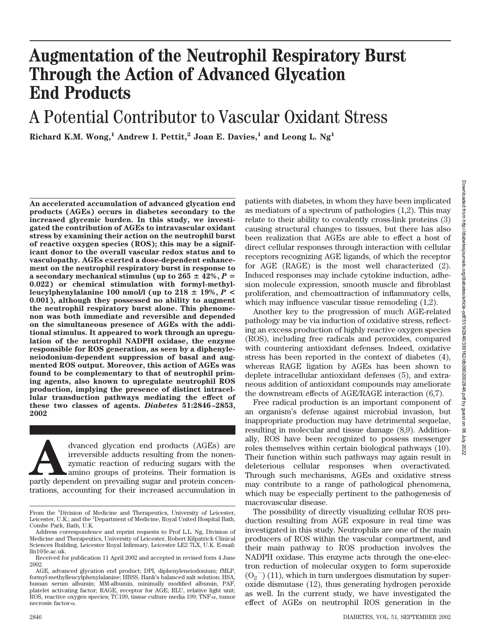## **Augmentation of the Neutrophil Respiratory Burst Through the Action of Advanced Glycation End Products**

# A Potential Contributor to Vascular Oxidant Stress

**Richard K.M. Wong,<sup>1</sup> Andrew I. Pettit,<sup>2</sup> Joan E. Davies,<sup>1</sup> and Leong L. Ng<sup>1</sup>** 

**An accelerated accumulation of advanced glycation end products (AGEs) occurs in diabetes secondary to the increased glycemic burden. In this study, we investigated the contribution of AGEs to intravascular oxidant stress by examining their action on the neutrophil burst of reactive oxygen species (ROS); this may be a significant donor to the overall vascular redox status and to vasculopathy. AGEs exerted a dose-dependent enhancement on the neutrophil respiratory burst in response to a** secondary mechanical stimulus (up to  $265 \pm 42\%, P =$ **0.022) or chemical stimulation with formyl-methylleucylphenylalanine 100 nmol/l (up to**  $218 \pm 19\%$ **,**  $P \le$ **0.001), although they possessed no ability to augment the neutrophil respiratory burst alone. This phenomenon was both immediate and reversible and depended on the simultaneous presence of AGEs with the additional stimulus. It appeared to work through an upregulation of the neutrophil NADPH oxidase, the enzyme responsible for ROS generation, as seen by a diphenyleneiodonium-dependent suppression of basal and augmented ROS output. Moreover, this action of AGEs was found to be complementary to that of neutrophil priming agents, also known to upregulate neutrophil ROS production, implying the presence of distinct intracellular transduction pathways mediating the effect of these two classes of agents.** *Diabetes* **51:2846–2853, 2002**

dvanced glycation end products (AGEs) are<br>irreversible adducts resulting from the nonen-<br>zymatic reaction of reducing sugars with the<br>amino groups of proteins. Their formation is<br>partly dependent on prevailing sugar and pr irreversible adducts resulting from the nonenzymatic reaction of reducing sugars with the amino groups of proteins. Their formation is trations, accounting for their increased accumulation in patients with diabetes, in whom they have been implicated as mediators of a spectrum of pathologies (1,2). This may relate to their ability to covalently cross-link proteins (3) causing structural changes to tissues, but there has also been realization that AGEs are able to effect a host of direct cellular responses through interaction with cellular receptors recognizing AGE ligands, of which the receptor for AGE (RAGE) is the most well characterized (2). Induced responses may include cytokine induction, adhesion molecule expression, smooth muscle and fibroblast proliferation, and chemoattraction of inflammatory cells, which may influence vascular tissue remodeling (1,2).

Another key to the progression of much AGE-related pathology may be via induction of oxidative stress, reflecting an excess production of highly reactive oxygen species (ROS), including free radicals and peroxides, compared with countering antioxidant defenses. Indeed, oxidative stress has been reported in the context of diabetes (4), whereas RAGE ligation by AGEs has been shown to deplete intracellular antioxidant defenses (5), and extraneous addition of antioxidant compounds may ameliorate the downstream effects of AGE/RAGE interaction (6,7).

Free radical production is an important component of an organism's defense against microbial invasion, but inappropriate production may have detrimental sequelae, resulting in molecular and tissue damage (8,9). Additionally, ROS have been recognized to possess messenger roles themselves within certain biological pathways (10). Their function within such pathways may again result in deleterious cellular responses when overactivated. Through such mechanisms, AGEs and oxidative stress may contribute to a range of pathological phenomena, which may be especially pertinent to the pathogenesis of macrovascular disease.

The possibility of directly visualizing cellular ROS production resulting from AGE exposure in real time was investigated in this study. Neutrophils are one of the main producers of ROS within the vascular compartment, and their main pathway to ROS production involves the NADPH oxidase. This enzyme acts through the one-electron reduction of molecular oxygen to form superoxide  $(O_2^-)$  (11), which in turn undergoes dismutation by superoxide dismutase (12), thus generating hydrogen peroxide as well. In the current study, we have investigated the effect of AGEs on neutrophil ROS generation in the

From the <sup>1</sup>Division of Medicine and Therapeutics, University of Leicester, Leicester, U.K.; and the <sup>2</sup>Department of Medicine, Royal United Hospital Bath, Combe Park, Bath, U.K.

Address correspondence and reprint requests to Prof L.L. Ng, Division of Medicine and Therapeutics, University of Leicester, Robert Kilpatrick Clinical Sciences Building, Leicester Royal Infirmary, Leicester LE2 7LX, U.K. E-mail: lln1@le.ac.uk.

Received for publication 11 April 2002 and accepted in revised form 4 June 2002.

AGE, advanced glycation end product; DPI, diphenyleneiodonium; fMLP, formyl-methylleucylphenylalanine; HBSS, Hank's balanced salt solution; HSA, human serum albumin; MM-albumin, minimally modified albumin, PAF, platelet activating factor; RAGE, receptor for AGE; RLU, relative light unit; ROS, reactive oxygen species; TC199, tissue culture media 199; TNF- $\alpha$ , tumor necrosis factor- $\alpha$ .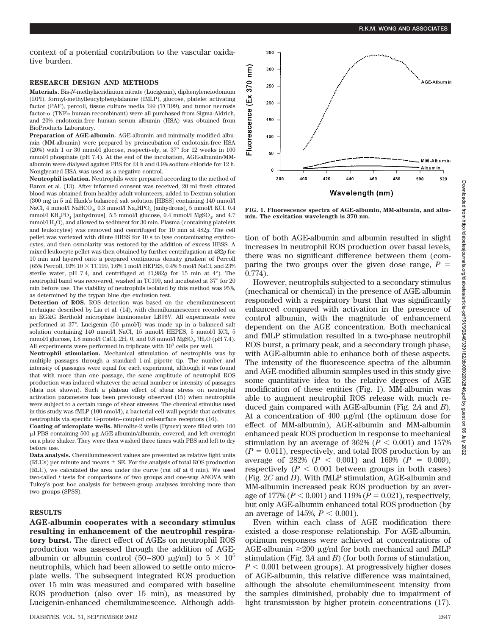#### **RESEARCH DESIGN AND METHODS**

**Materials.** Bis-*N*-methylacridinium nitrate (Lucigenin), diphenyleneiodonium (DPI), formyl-methylleucylphenylalanine (fMLP), glucose, platelet activating factor (PAF), percoll, tissue culture media 199 (TC199), and tumor necrosis factor- $\alpha$  (TNF $\alpha$  human recombinant) were all purchased from Sigma-Aldrich, and 20% endotoxin-free human serum albumin (HSA) was obtained from BioProducts Laboratory.

**Preparation of AGE-albumin.** AGE-albumin and minimally modified albumin (MM-albumin) were prepared by preincubation of endotoxin-free HSA (20%) with 1 or 30 mmol/l glucose, respectively, at 37° for 12 weeks in 100 mmol/l phosphate (pH 7.4). At the end of the incubation, AGE-albumin/MMalbumin were dialysed against PBS for 24 h and 0.9% sodium chloride for 12 h. Nonglycated HSA was used as a negative control.

**Neutrophil isolation.** Neutrophils were prepared according to the method of Baron et al. (13). After informed consent was received, 20 ml fresh citrated blood was obtained from healthy adult volunteers, added to Dextran solution (300 mg in 5 ml Hank's balanced salt solution [HBSS] containing 140 mmol/l NaCl, 4 mmol/l NaHCO<sub>3</sub>, 0.3 mmol/l Na<sub>2</sub>HPO<sub>4</sub> [anhydrous], 5 mmol/l KCl, 0.4 mmol/l  $KH_{2}PO_{4}$  [anhydrous], 5.5 mmol/l glucose, 0.4 mmol/l  $MgSO_{4}$ , and 4.7  $mmol/1 H<sub>2</sub>O$ ), and allowed to sediment for 30 min. Plasma (containing platelets and leukocytes) was removed and centrifuged for 10 min at 482*g*. The cell pellet was vortexed with dilute HBSS for 10 s to lyse contaminating erythrocytes, and then osmolarity was restored by the addition of excess HBSS. A mixed leukocyte pellet was then obtained by further centrifugation at 482*g* for 10 min and layered onto a prepared continuous density gradient of Percoll (65% Percoll,  $10\%$   $10 \times$  TC199,  $1.6\%$  1 mol/l HEPES, 0.4% 5 mol/l NaCl, and 23% sterile water, pH 7.4, and centrifuged at 21,982*g* for 15 min at 4°). The neutrophil band was recovered, washed in TC199, and incubated at 37° for 20 min before use. The viability of neutrophils isolated by this method was 95%, as determined by the trypan blue dye exclusion test.

**Detection of ROS.** ROS detection was based on the chemiluminescent technique described by Liu et al. (14), with chemiluminescence recorded on an EG&G Berthold microplate luminometer LB96V. All experiments were performed at 37°. Lucigenin (50  $\mu$ mol/l) was made up in a balanced salt solution containing 140 mmol/l NaCl, 15 mmol/l HEPES, 5 mmol/l KCl, 5 mmol/l glucose, 1.8 mmol/l CaCl<sub>2</sub>.2H<sub>2</sub> 0, and 0.8 mmol/l MgSO<sub>4</sub>.7H<sub>2</sub>O (pH 7.4). All experiments were performed in triplicate with  $10^5$  cells per well.

**Neutrophil stimulation.** Mechanical stimulation of neutrophils was by multiple passages through a standard 1-ml pipette tip. The number and intensity of passages were equal for each experiment, although it was found that with more than one passage, the same amplitude of neutrophil ROS production was induced whatever the actual number or intensity of passages (data not shown). Such a plateau effect of shear stress on neutrophil activation parameters has been previously observed (15) when neutrophils were subject to a certain range of shear stresses. The chemical stimulus used in this study was fMLP (100 nmol/l), a bacterial cell-wall peptide that activates neutrophils via specific G-protein–coupled cell-surface receptors (16).

**Coating of microplate wells.** Microlite-2 wells (Dynex) were filled with 100  $\mu$ l PBS containing 500  $\mu$ g AGE-albumin/albumin, covered, and left overnight on a plate shaker. They were then washed three times with PBS and left to dry before use.

**Data analysis.** Chemiluminescent values are presented as relative light units (RLUs) per minute and means  $\pm$  SE. For the analysis of total ROS production (RLU), we calculated the area under the curve (cut off at 6 min). We used two-tailed *t* tests for comparisons of two groups and one-way ANOVA with Tukey's post hoc analysis for between-group analyses involving more than two groups (SPSS).

#### **RESULTS**

**AGE-albumin cooperates with a secondary stimulus resulting in enhancement of the neutrophil respiratory burst.** The direct effect of AGEs on neutrophil ROS production was assessed through the addition of AGEalbumin or albumin control (50–800  $\mu$ g/ml) to  $5 \times 10^5$ neutrophils, which had been allowed to settle onto microplate wells. The subsequent integrated ROS production over 15 min was measured and compared with baseline ROS production (also over 15 min), as measured by Lucigenin-enhanced chemiluminescence. Although addi-



**FIG. 1. Fluorescence spectra of AGE-albumin, MM-albumin, and albumin. The excitation wavelength is 370 nm.**

tion of both AGE-albumin and albumin resulted in slight increases in neutrophil ROS production over basal levels, there was no significant difference between them (comparing the two groups over the given dose range,  $P =$ 0.774).

However, neutrophils subjected to a secondary stimulus (mechanical or chemical) in the presence of AGE-albumin responded with a respiratory burst that was significantly enhanced compared with activation in the presence of control albumin, with the magnitude of enhancement dependent on the AGE concentration. Both mechanical and fMLP stimulation resulted in a two-phase neutrophil ROS burst, a primary peak, and a secondary trough phase, with AGE-albumin able to enhance both of these aspects. The intensity of the fluorescence spectra of the albumin and AGE-modified albumin samples used in this study give some quantitative idea to the relative degrees of AGE modification of these entities (Fig. 1). MM-albumin was able to augment neutrophil ROS release with much reduced gain compared with AGE-albumin (Fig. 2*A* and *B*). At a concentration of  $400 \mu g/ml$  (the optimum dose for effect of MM-albumin), AGE-albumin and MM-albumin enhanced peak ROS production in response to mechanical stimulation by an average of  $362\%$  ( $P < 0.001$ ) and  $157\%$  $(P = 0.011)$ , respectively, and total ROS production by an average of 282% ( $P < 0.001$ ) and 169% ( $P = 0.009$ ), respectively  $(P < 0.001)$  between groups in both cases) (Fig. 2*C* and *D*). With fMLP stimulation, AGE-albumin and MM-albumin increased peak ROS production by an average of  $177\% (P < 0.001)$  and  $119\% (P = 0.021)$ , respectively, but only AGE-albumin enhanced total ROS production (by an average of 145%,  $P < 0.001$ ).

Even within each class of AGE modification there existed a dose-response relationship. For AGE-albumin, optimum responses were achieved at concentrations of AGE-albumin  $\geq 200$  µg/ml for both mechanical and fMLP stimulation (Fig. 3*A* and *B*) (for both forms of stimulation,  $P < 0.001$  between groups). At progressively higher doses of AGE-albumin, this relative difference was maintained, although the absolute chemiluminescent intensity from the samples diminished, probably due to impairment of light transmission by higher protein concentrations (17).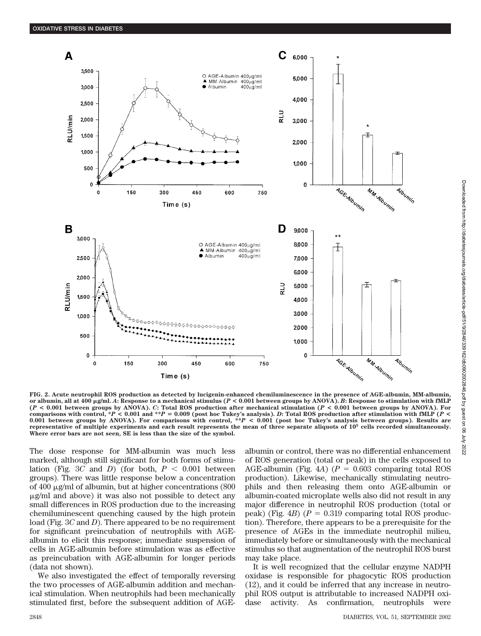

**FIG. 2. Acute neutrophil ROS production as detected by lucigenin-enhanced chemiluminescence in the presence of AGE-albumin, MM-albumin, or albumin, all at 400 g/ml.** *A***: Response to a mechanical stimulus (***P* **< 0.001 between groups by ANOVA).** *B***: Response to stimulation with fMLP (***P* **< 0.001 between groups by ANOVA).** *C***: Total ROS production after mechanical stimulation (***P* **< 0.001 between groups by ANOVA). For comparisons with control, \****P* **< 0.001 and \*\****P* - **0.009 (post hoc Tukey's analysis).** *D***: Total ROS production after stimulation with fMLP (***P* **<** 0.001 between groups by ANOVA). For comparisons with control, \*\* $P < 0.001$  (post hoc Tukey's analysis between groups). Results are representative of multiple experiments and each result represents the mean of three separa **Where error bars are not seen, SE is less than the size of the symbol.**

The dose response for MM-albumin was much less marked, although still significant for both forms of stimulation (Fig. 3*C* and *D*) (for both,  $P < 0.001$  between groups). There was little response below a concentration of 400  $\mu$ g/ml of albumin, but at higher concentrations (800 g/ml and above) it was also not possible to detect any small differences in ROS production due to the increasing chemiluminescent quenching caused by the high protein load (Fig. 3*C* and *D*). There appeared to be no requirement for significant preincubation of neutrophils with AGEalbumin to elicit this response; immediate suspension of cells in AGE-albumin before stimulation was as effective as preincubation with AGE-albumin for longer periods (data not shown).

We also investigated the effect of temporally reversing the two processes of AGE-albumin addition and mechanical stimulation. When neutrophils had been mechanically stimulated first, before the subsequent addition of AGE-

albumin or control, there was no differential enhancement of ROS generation (total or peak) in the cells exposed to AGE-albumin (Fig. 4*A*) ( $P = 0.603$  comparing total ROS production). Likewise, mechanically stimulating neutrophils and then releasing them onto AGE-albumin or albumin-coated microplate wells also did not result in any major difference in neutrophil ROS production (total or peak) (Fig.  $4B$ ) ( $P = 0.319$  comparing total ROS production). Therefore, there appears to be a prerequisite for the presence of AGEs in the immediate neutrophil milieu, immediately before or simultaneously with the mechanical stimulus so that augmentation of the neutrophil ROS burst may take place.

It is well recognized that the cellular enzyme NADPH oxidase is responsible for phagocytic ROS production (12), and it could be inferred that any increase in neutrophil ROS output is attributable to increased NADPH oxidase activity. As confirmation, neutrophils were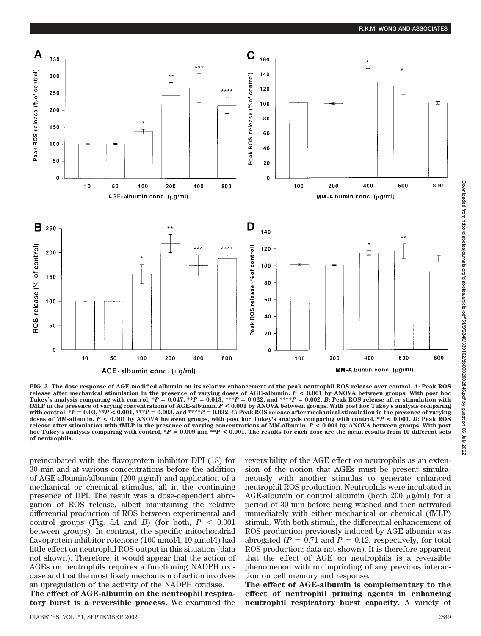

**FIG. 3. The dose response of AGE-modified albumin on its relative enhancement of the peak neutrophil ROS release over control.** *A***: Peak ROS release after mechanical stimulation in the presence of varying doses of AGE-albumin.** *P* **< 0.001 by ANOVA between groups. With post hoc** Tukey's analysis comparing with control,  $^*P = 0.047, ^{**}P = 0.013, ^{**}P = 0.022,$  and  $^{****}P = 0.002$ . *B*: Peak ROS release after stimulation with **fMLP in the presence of varying concentrations of AGE-albumin.** *P* **< 0.001 by ANOVA between groups. With post hoc Tukey's analysis comparing** with control, \*P = 0.03, \*\*P < 0.001, \*\*\*P = 0.003, and \*\*\*\*P = 0.032. C: Peak ROS release after mechanical stimulation in the presence of varying **doses of MM-albumin.** *P* **< 0.001 by ANOVA between groups, with post hoc Tukey's analysis comparing with control, \****P* **< 0.001.** *D***: Peak ROS release after stimulation with fMLP in the presence of varying concentrations of MM-albumin.** *P* **< 0.001 by ANOVA between groups. With post hoc Tukey's analysis comparing with control, \****P* - **0.009 and \*\****P* **< 0.001. The results for each dose are the mean results from 10 different sets of neutrophils.**

preincubated with the flavoprotein inhibitor DPI (18) for 30 min and at various concentrations before the addition of AGE-albumin/albumin (200  $\mu$ g/ml) and application of a mechanical or chemical stimulus, all in the continuing presence of DPI. The result was a dose-dependent abrogation of ROS release, albeit maintaining the relative differential production of ROS between experimental and control groups (Fig. 5A and *B*) (for both,  $P < 0.001$ between groups). In contrast, the specific mitochondrial flavoprotein inhibitor rotenone (100 nmol/l, 10  $\mu$ mol/l) had little effect on neutrophil ROS output in this situation (data not shown). Therefore, it would appear that the action of AGEs on neutrophils requires a functioning NADPH oxidase and that the most likely mechanism of action involves an upregulation of the activity of the NADPH oxidase.

**The effect of AGE-albumin on the neutrophil respiratory burst is a reversible process.** We examined the reversibility of the AGE effect on neutrophils as an extension of the notion that AGEs must be present simultaneously with another stimulus to generate enhanced neutrophil ROS production. Neutrophils were incubated in AGE-albumin or control albumin (both  $200 \mu g/ml$ ) for a period of 30 min before being washed and then activated immediately with either mechanical or chemical (fMLP) stimuli. With both stimuli, the differential enhancement of ROS production previously induced by AGE-albumin was abrogated  $(P = 0.71$  and  $P = 0.12$ , respectively, for total ROS production; data not shown). It is therefore apparent that the effect of AGE on neutrophils is a reversible phenomenon with no imprinting of any previous interaction on cell memory and response.

**The effect of AGE-albumin is complementary to the effect of neutrophil priming agents in enhancing neutrophil respiratory burst capacity.** A variety of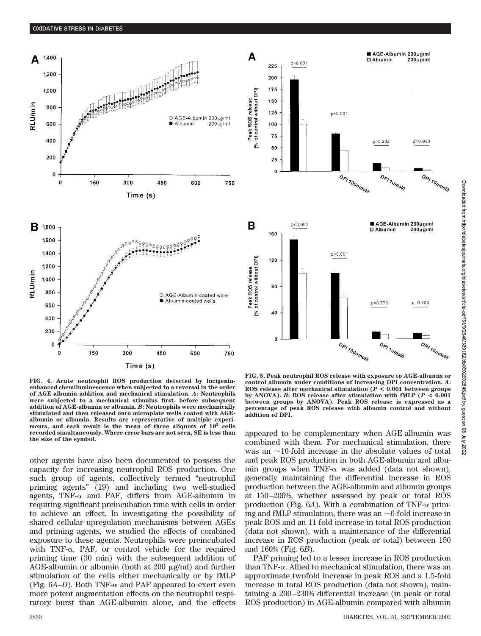



AGE-Albumin 200<sub>Hg</sub>/ml

**FIG. 4. Acute neutrophil ROS production detected by lucigeninenhanced chemiluminescence when subjected to a reversal in the order of AGE-albumin addition and mechanical stimulation.** *A***: Neutrophils were subjected to a mechanical stimulus first, before subsequent addition of AGE-albumin or albumin.** *B***: Neutrophils were mechanically stimulated and then released onto microplate wells coated with AGEalbumin or albumin. Results are representative of multiple experiments, and each result is the mean of three aliquots of 10<sup>5</sup> cells recorded simultaneously. Where error bars are not seen, SE is less than the size of the symbol.**

other agents have also been documented to possess the capacity for increasing neutrophil ROS production. One such group of agents, collectively termed "neutrophil priming agents" (19) and including two well-studied agents, TNF- $\alpha$  and PAF, differs from AGE-albumin in requiring significant preincubation time with cells in order to achieve an effect. In investigating the possibility of shared cellular upregulation mechanisms between AGEs and priming agents, we studied the effects of combined exposure to these agents. Neutrophils were preincubated with TNF- $\alpha$ , PAF, or control vehicle for the required priming time (30 min) with the subsequent addition of AGE-albumin or albumin (both at  $200 \mu g/ml$ ) and further stimulation of the cells either mechanically or by fMLP (Fig.  $6A-D$ ). Both TNF- $\alpha$  and PAF appeared to exert even more potent augmentation effects on the neutrophil respiratory burst than AGE-albumin alone, and the effects

**FIG. 5. Peak neutrophil ROS release with exposure to AGE-albumin or control albumin under conditions of increasing DPI concentration.** *A***: ROS release after mechanical stimulation (***P* **< 0.001 between groups by ANOVA).** *B***: ROS release after stimulation with fMLP (***P* **< 0.001 between groups by ANOVA). Peak ROS release is expressed as a percentage of peak ROS release with albumin control and without addition of DPI.**

appeared to be complementary when AGE-albumin was combined with them. For mechanical stimulation, there was an  $\sim$ 10-fold increase in the absolute values of total and peak ROS production in both AGE-albumin and albumin groups when TNF- $\alpha$  was added (data not shown), generally maintaining the differential increase in ROS production between the AGE-albumin and albumin groups at 150–200%, whether assessed by peak or total ROS production (Fig.  $6A$ ). With a combination of TNF- $\alpha$  priming and fMLP stimulation, there was an  $\sim$  6-fold increase in peak ROS and an 11-fold increase in total ROS production (data not shown), with a maintenance of the differential increase in ROS production (peak or total) between 150 and 160% (Fig. 6*B*).

PAF priming led to a lesser increase in ROS production  $than TNF-\alpha$ . Allied to mechanical stimulation, there was an approximate twofold increase in peak ROS and a 1.5-fold increase in total ROS production (data not shown), maintaining a 200–230% differential increase (in peak or total ROS production) in AGE-albumin compared with albumin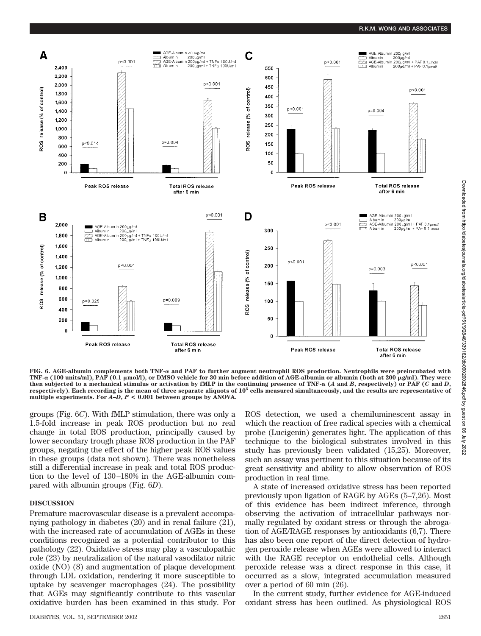

FIG. 6. AGE-albumin complements both TNF- $\alpha$  and PAF to further augment neutrophil ROS production. Neutrophils were preincubated with **TNF- (100 units/ml), PAF (0.1 mol/l), or DMSO vehicle for 30 min before addition of AGE-albumin or albumin (both at 200 g/ml). They were** then subjected to a mechanical stimulus or activation by fMLP in the continuing presence of TNF- $\alpha$  ( $A$  and  $B$ , respectively) or PAF ( $C$  and  $D$ , **respectively). Each recording is the mean of three separate aliquots of 105 cells measured simultaneously, and the results are representative of multiple experiments. For** *A***–***D***,** *P* **< 0.001 between groups by ANOVA.**

groups (Fig. 6*C*). With fMLP stimulation, there was only a 1.5-fold increase in peak ROS production but no real change in total ROS production, principally caused by lower secondary trough phase ROS production in the PAF groups, negating the effect of the higher peak ROS values in these groups (data not shown). There was nonetheless still a differential increase in peak and total ROS production to the level of 130–180% in the AGE-albumin compared with albumin groups (Fig. 6*D*).

#### **DISCUSSION**

Premature macrovascular disease is a prevalent accompanying pathology in diabetes (20) and in renal failure (21), with the increased rate of accumulation of AGEs in these conditions recognized as a potential contributor to this pathology (22). Oxidative stress may play a vasculopathic role (23) by neutralization of the natural vasodilator nitric oxide (NO) (8) and augmentation of plaque development through LDL oxidation, rendering it more susceptible to uptake by scavenger macrophages (24). The possibility that AGEs may significantly contribute to this vascular oxidative burden has been examined in this study. For

ROS detection, we used a chemiluminescent assay in which the reaction of free radical species with a chemical probe (Lucigenin) generates light. The application of this technique to the biological substrates involved in this study has previously been validated (15,25). Moreover, such an assay was pertinent to this situation because of its great sensitivity and ability to allow observation of ROS production in real time.

A state of increased oxidative stress has been reported previously upon ligation of RAGE by AGEs (5–7,26). Most of this evidence has been indirect inference, through observing the activation of intracellular pathways normally regulated by oxidant stress or through the abrogation of AGE/RAGE responses by antioxidants (6,7). There has also been one report of the direct detection of hydrogen peroxide release when AGEs were allowed to interact with the RAGE receptor on endothelial cells. Although peroxide release was a direct response in this case, it occurred as a slow, integrated accumulation measured over a period of 60 min (26).

In the current study, further evidence for AGE-induced oxidant stress has been outlined. As physiological ROS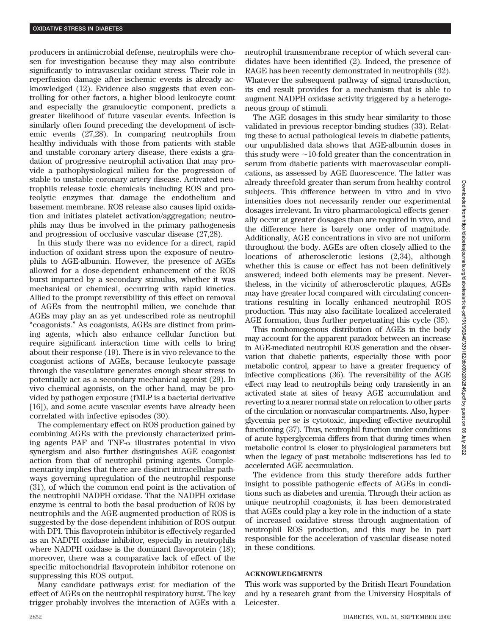producers in antimicrobial defense, neutrophils were chosen for investigation because they may also contribute significantly to intravascular oxidant stress. Their role in reperfusion damage after ischemic events is already acknowledged (12). Evidence also suggests that even controlling for other factors, a higher blood leukocyte count and especially the granulocytic component, predicts a greater likelihood of future vascular events. Infection is similarly often found preceding the development of ischemic events (27,28). In comparing neutrophils from healthy individuals with those from patients with stable and unstable coronary artery disease, there exists a gradation of progressive neutrophil activation that may provide a pathophysiological milieu for the progression of stable to unstable coronary artery disease. Activated neutrophils release toxic chemicals including ROS and proteolytic enzymes that damage the endothelium and basement membrane. ROS release also causes lipid oxidation and initiates platelet activation/aggregation; neutrophils may thus be involved in the primary pathogenesis and progression of occlusive vascular disease (27,28).

In this study there was no evidence for a direct, rapid induction of oxidant stress upon the exposure of neutrophils to AGE-albumin. However, the presence of AGEs allowed for a dose-dependent enhancement of the ROS burst imparted by a secondary stimulus, whether it was mechanical or chemical, occurring with rapid kinetics. Allied to the prompt reversibility of this effect on removal of AGEs from the neutrophil milieu, we conclude that AGEs may play an as yet undescribed role as neutrophil "coagonists." As coagonists, AGEs are distinct from priming agents, which also enhance cellular function but require significant interaction time with cells to bring about their response (19). There is in vivo relevance to the coagonist actions of AGEs, because leukocyte passage through the vasculature generates enough shear stress to potentially act as a secondary mechanical agonist (29). In vivo chemical agonists, on the other hand, may be provided by pathogen exposure (fMLP is a bacterial derivative [16]), and some acute vascular events have already been correlated with infective episodes (30).

The complementary effect on ROS production gained by combining AGEs with the previously characterized priming agents PAF and TNF- $\alpha$  illustrates potential in vivo synergism and also further distinguishes AGE coagonist action from that of neutrophil priming agents. Complementarity implies that there are distinct intracellular pathways governing upregulation of the neutrophil response (31), of which the common end point is the activation of the neutrophil NADPH oxidase. That the NADPH oxidase enzyme is central to both the basal production of ROS by neutrophils and the AGE-augmented production of ROS is suggested by the dose-dependent inhibition of ROS output with DPI. This flavoprotein inhibitor is effectively regarded as an NADPH oxidase inhibitor, especially in neutrophils where NADPH oxidase is the dominant flavoprotein (18); moreover, there was a comparative lack of effect of the specific mitochondrial flavoprotein inhibitor rotenone on suppressing this ROS output.

Many candidate pathways exist for mediation of the effect of AGEs on the neutrophil respiratory burst. The key trigger probably involves the interaction of AGEs with a neutrophil transmembrane receptor of which several candidates have been identified (2). Indeed, the presence of RAGE has been recently demonstrated in neutrophils (32). Whatever the subsequent pathway of signal transduction, its end result provides for a mechanism that is able to augment NADPH oxidase activity triggered by a heterogeneous group of stimuli.

The AGE dosages in this study bear similarity to those validated in previous receptor-binding studies (33). Relating these to actual pathological levels in diabetic patients, our unpublished data shows that AGE-albumin doses in this study were  $\sim$ 10-fold greater than the concentration in serum from diabetic patients with macrovascular complications, as assessed by AGE fluorescence. The latter was already threefold greater than serum from healthy control subjects. This difference between in vitro and in vivo intensities does not necessarily render our experimental dosages irrelevant. In vitro pharmacological effects generally occur at greater dosages than are required in vivo, and the difference here is barely one order of magnitude. Additionally, AGE concentrations in vivo are not uniform throughout the body. AGEs are often closely allied to the locations of atherosclerotic lesions (2,34), although whether this is cause or effect has not been definitively answered; indeed both elements may be present. Nevertheless, in the vicinity of atherosclerotic plaques, AGEs may have greater local compared with circulating concentrations resulting in locally enhanced neutrophil ROS production. This may also facilitate localized accelerated AGE formation, thus further perpetuating this cycle (35).

This nonhomogenous distribution of AGEs in the body may account for the apparent paradox between an increase in AGE-mediated neutrophil ROS generation and the observation that diabetic patients, especially those with poor metabolic control, appear to have a greater frequency of infective complications (36). The reversibility of the AGE effect may lead to neutrophils being only transiently in an activated state at sites of heavy AGE accumulation and reverting to a nearer normal state on relocation to other parts of the circulation or nonvascular compartments. Also, hyperglycemia per se is cytotoxic, impeding effective neutrophil functioning (37). Thus, neutrophil function under conditions of acute hyperglycemia differs from that during times when metabolic control is closer to physiological parameters but when the legacy of past metabolic indiscretions has led to accelerated AGE accumulation.

The evidence from this study therefore adds further insight to possible pathogenic effects of AGEs in conditions such as diabetes and uremia. Through their action as unique neutrophil coagonists, it has been demonstrated that AGEs could play a key role in the induction of a state of increased oxidative stress through augmentation of neutrophil ROS production, and this may be in part responsible for the acceleration of vascular disease noted in these conditions.

#### **ACKNOWLEDGMENTS**

This work was supported by the British Heart Foundation and by a research grant from the University Hospitals of Leicester.